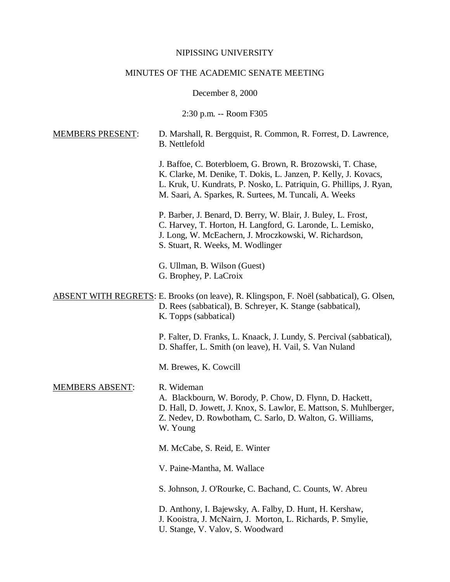## NIPISSING UNIVERSITY

## MINUTES OF THE ACADEMIC SENATE MEETING

December 8, 2000

2:30 p.m. -- Room F305

| <b>MEMBERS PRESENT:</b> | D. Marshall, R. Bergquist, R. Common, R. Forrest, D. Lawrence,<br><b>B.</b> Nettlefold                                                                                                                                                                          |
|-------------------------|-----------------------------------------------------------------------------------------------------------------------------------------------------------------------------------------------------------------------------------------------------------------|
|                         | J. Baffoe, C. Boterbloem, G. Brown, R. Brozowski, T. Chase,<br>K. Clarke, M. Denike, T. Dokis, L. Janzen, P. Kelly, J. Kovacs,<br>L. Kruk, U. Kundrats, P. Nosko, L. Patriquin, G. Phillips, J. Ryan,<br>M. Saari, A. Sparkes, R. Surtees, M. Tuncali, A. Weeks |
|                         | P. Barber, J. Benard, D. Berry, W. Blair, J. Buley, L. Frost,<br>C. Harvey, T. Horton, H. Langford, G. Laronde, L. Lemisko,<br>J. Long, W. McEachern, J. Mroczkowski, W. Richardson,<br>S. Stuart, R. Weeks, M. Wodlinger                                       |
|                         | G. Ullman, B. Wilson (Guest)<br>G. Brophey, P. LaCroix                                                                                                                                                                                                          |
|                         | <b>ABSENT WITH REGRETS:</b> E. Brooks (on leave), R. Klingspon, F. Noël (sabbatical), G. Olsen,<br>D. Rees (sabbatical), B. Schreyer, K. Stange (sabbatical),<br>K. Topps (sabbatical)                                                                          |
|                         | P. Falter, D. Franks, L. Knaack, J. Lundy, S. Percival (sabbatical),<br>D. Shaffer, L. Smith (on leave), H. Vail, S. Van Nuland                                                                                                                                 |
|                         | M. Brewes, K. Cowcill                                                                                                                                                                                                                                           |
| <b>MEMBERS ABSENT:</b>  | R. Wideman<br>A. Blackbourn, W. Borody, P. Chow, D. Flynn, D. Hackett,<br>D. Hall, D. Jowett, J. Knox, S. Lawlor, E. Mattson, S. Muhlberger,<br>Z. Nedev, D. Rowbotham, C. Sarlo, D. Walton, G. Williams,<br>W. Young                                           |
|                         | M. McCabe, S. Reid, E. Winter                                                                                                                                                                                                                                   |
|                         | V. Paine-Mantha, M. Wallace                                                                                                                                                                                                                                     |
|                         | S. Johnson, J. O'Rourke, C. Bachand, C. Counts, W. Abreu                                                                                                                                                                                                        |
|                         | D. Anthony, I. Bajewsky, A. Falby, D. Hunt, H. Kershaw,<br>J. Kooistra, J. McNairn, J. Morton, L. Richards, P. Smylie,                                                                                                                                          |

U. Stange, V. Valov, S. Woodward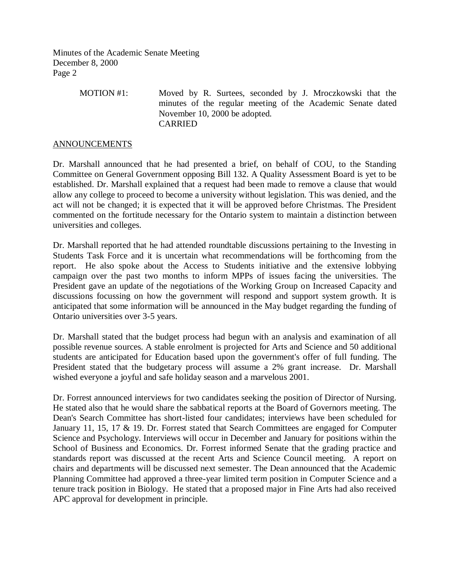> MOTION #1: Moved by R. Surtees, seconded by J. Mroczkowski that the minutes of the regular meeting of the Academic Senate dated November 10, 2000 be adopted. CARRIED

## ANNOUNCEMENTS

Dr. Marshall announced that he had presented a brief, on behalf of COU, to the Standing Committee on General Government opposing Bill 132. A Quality Assessment Board is yet to be established. Dr. Marshall explained that a request had been made to remove a clause that would allow any college to proceed to become a university without legislation. This was denied, and the act will not be changed; it is expected that it will be approved before Christmas. The President commented on the fortitude necessary for the Ontario system to maintain a distinction between universities and colleges.

Dr. Marshall reported that he had attended roundtable discussions pertaining to the Investing in Students Task Force and it is uncertain what recommendations will be forthcoming from the report. He also spoke about the Access to Students initiative and the extensive lobbying campaign over the past two months to inform MPPs of issues facing the universities. The President gave an update of the negotiations of the Working Group on Increased Capacity and discussions focussing on how the government will respond and support system growth. It is anticipated that some information will be announced in the May budget regarding the funding of Ontario universities over 3-5 years.

Dr. Marshall stated that the budget process had begun with an analysis and examination of all possible revenue sources. A stable enrolment is projected for Arts and Science and 50 additional students are anticipated for Education based upon the government's offer of full funding. The President stated that the budgetary process will assume a 2% grant increase. Dr. Marshall wished everyone a joyful and safe holiday season and a marvelous 2001.

Dr. Forrest announced interviews for two candidates seeking the position of Director of Nursing. He stated also that he would share the sabbatical reports at the Board of Governors meeting. The Dean's Search Committee has short-listed four candidates; interviews have been scheduled for January 11, 15, 17 & 19. Dr. Forrest stated that Search Committees are engaged for Computer Science and Psychology. Interviews will occur in December and January for positions within the School of Business and Economics. Dr. Forrest informed Senate that the grading practice and standards report was discussed at the recent Arts and Science Council meeting. A report on chairs and departments will be discussed next semester. The Dean announced that the Academic Planning Committee had approved a three-year limited term position in Computer Science and a tenure track position in Biology. He stated that a proposed major in Fine Arts had also received APC approval for development in principle.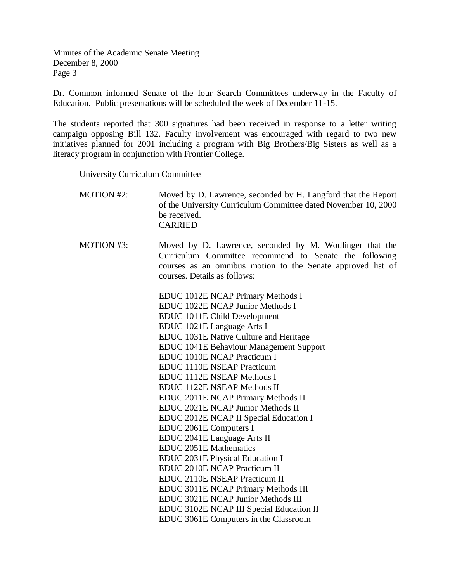Dr. Common informed Senate of the four Search Committees underway in the Faculty of Education. Public presentations will be scheduled the week of December 11-15.

The students reported that 300 signatures had been received in response to a letter writing campaign opposing Bill 132. Faculty involvement was encouraged with regard to two new initiatives planned for 2001 including a program with Big Brothers/Big Sisters as well as a literacy program in conjunction with Frontier College.

University Curriculum Committee

| <b>MOTION #2:</b> | Moved by D. Lawrence, seconded by H. Langford that the Report<br>of the University Curriculum Committee dated November 10, 2000<br>be received.<br><b>CARRIED</b>                                                |
|-------------------|------------------------------------------------------------------------------------------------------------------------------------------------------------------------------------------------------------------|
| MOTION #3:        | Moved by D. Lawrence, seconded by M. Wodlinger that the<br>Curriculum Committee recommend to Senate the following<br>courses as an omnibus motion to the Senate approved list of<br>courses. Details as follows: |
|                   | EDUC 1012E NCAP Primary Methods I                                                                                                                                                                                |
|                   | EDUC 1022E NCAP Junior Methods I                                                                                                                                                                                 |
|                   | EDUC 1011E Child Development                                                                                                                                                                                     |
|                   | EDUC 1021E Language Arts I                                                                                                                                                                                       |
|                   | EDUC 1031E Native Culture and Heritage                                                                                                                                                                           |
|                   | <b>EDUC 1041E Behaviour Management Support</b>                                                                                                                                                                   |
|                   | <b>EDUC 1010E NCAP Practicum I</b>                                                                                                                                                                               |
|                   | <b>EDUC 1110E NSEAP Practicum</b>                                                                                                                                                                                |
|                   | <b>EDUC 1112E NSEAP Methods I</b>                                                                                                                                                                                |
|                   | EDUC 1122E NSEAP Methods II                                                                                                                                                                                      |
|                   | EDUC 2011E NCAP Primary Methods II                                                                                                                                                                               |
|                   | EDUC 2021E NCAP Junior Methods II                                                                                                                                                                                |
|                   | EDUC 2012E NCAP II Special Education I                                                                                                                                                                           |
|                   | EDUC 2061E Computers I                                                                                                                                                                                           |
|                   | EDUC 2041E Language Arts II                                                                                                                                                                                      |
|                   | <b>EDUC 2051E Mathematics</b>                                                                                                                                                                                    |
|                   | EDUC 2031E Physical Education I                                                                                                                                                                                  |
|                   | <b>EDUC 2010E NCAP Practicum II</b>                                                                                                                                                                              |
|                   | <b>EDUC 2110E NSEAP Practicum II</b>                                                                                                                                                                             |
|                   | EDUC 3011E NCAP Primary Methods III                                                                                                                                                                              |
|                   | EDUC 3021E NCAP Junior Methods III                                                                                                                                                                               |
|                   | EDUC 3102E NCAP III Special Education II                                                                                                                                                                         |
|                   | EDUC 3061E Computers in the Classroom                                                                                                                                                                            |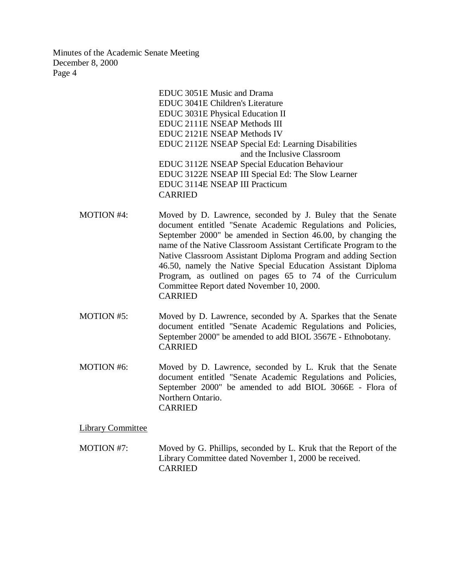> EDUC 3051E Music and Drama EDUC 3041E Children's Literature EDUC 3031E Physical Education II EDUC 2111E NSEAP Methods III EDUC 2121E NSEAP Methods IV EDUC 2112E NSEAP Special Ed: Learning Disabilities and the Inclusive Classroom EDUC 3112E NSEAP Special Education Behaviour EDUC 3122E NSEAP III Special Ed: The Slow Learner EDUC 3114E NSEAP III Practicum CARRIED

- MOTION #4: Moved by D. Lawrence, seconded by J. Buley that the Senate document entitled "Senate Academic Regulations and Policies, September 2000" be amended in Section 46.00, by changing the name of the Native Classroom Assistant Certificate Program to the Native Classroom Assistant Diploma Program and adding Section 46.50, namely the Native Special Education Assistant Diploma Program, as outlined on pages 65 to 74 of the Curriculum Committee Report dated November 10, 2000. CARRIED
- MOTION #5: Moved by D. Lawrence, seconded by A. Sparkes that the Senate document entitled "Senate Academic Regulations and Policies, September 2000" be amended to add BIOL 3567E - Ethnobotany. CARRIED
- MOTION #6: Moved by D. Lawrence, seconded by L. Kruk that the Senate document entitled "Senate Academic Regulations and Policies, September 2000" be amended to add BIOL 3066E - Flora of Northern Ontario. CARRIED

Library Committee

MOTION #7: Moved by G. Phillips, seconded by L. Kruk that the Report of the Library Committee dated November 1, 2000 be received. CARRIED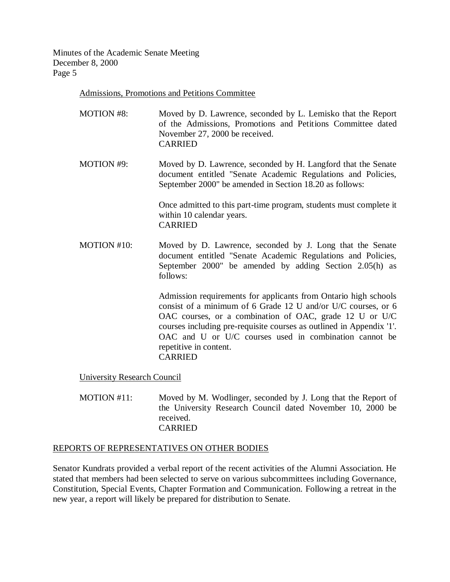Admissions, Promotions and Petitions Committee

- MOTION #8: Moved by D. Lawrence, seconded by L. Lemisko that the Report of the Admissions, Promotions and Petitions Committee dated November 27, 2000 be received. CARRIED
- MOTION #9: Moved by D. Lawrence, seconded by H. Langford that the Senate document entitled "Senate Academic Regulations and Policies, September 2000" be amended in Section 18.20 as follows:

Once admitted to this part-time program, students must complete it within 10 calendar years. CARRIED

MOTION #10: Moved by D. Lawrence, seconded by J. Long that the Senate document entitled "Senate Academic Regulations and Policies, September 2000" be amended by adding Section 2.05(h) as follows:

> Admission requirements for applicants from Ontario high schools consist of a minimum of 6 Grade 12 U and/or U/C courses, or 6 OAC courses, or a combination of OAC, grade 12 U or U/C courses including pre-requisite courses as outlined in Appendix '1'. OAC and U or U/C courses used in combination cannot be repetitive in content. CARRIED

University Research Council

MOTION #11: Moved by M. Wodlinger, seconded by J. Long that the Report of the University Research Council dated November 10, 2000 be received. CARRIED

## REPORTS OF REPRESENTATIVES ON OTHER BODIES

Senator Kundrats provided a verbal report of the recent activities of the Alumni Association. He stated that members had been selected to serve on various subcommittees including Governance, Constitution, Special Events, Chapter Formation and Communication. Following a retreat in the new year, a report will likely be prepared for distribution to Senate.